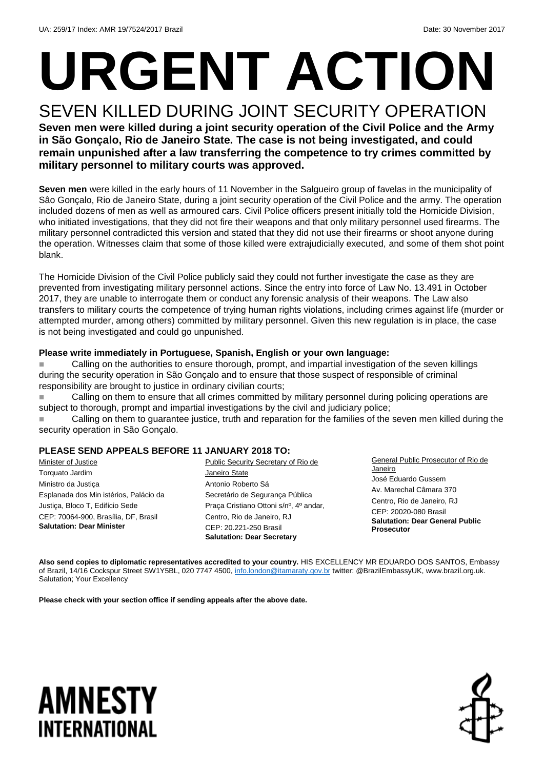# **URGENT ACTION**

SEVEN KILLED DURING JOINT SECURITY OPERATION **Seven men were killed during a joint security operation of the Civil Police and the Army in São Gonçalo, Rio de Janeiro State. The case is not being investigated, and could remain unpunished after a law transferring the competence to try crimes committed by military personnel to military courts was approved.** 

**Seven men** were killed in the early hours of 11 November in the Salgueiro group of favelas in the municipality of Sâo Gonçalo, Rio de Janeiro State, during a joint security operation of the Civil Police and the army. The operation included dozens of men as well as armoured cars. Civil Police officers present initially told the Homicide Division, who initiated investigations, that they did not fire their weapons and that only military personnel used firearms. The military personnel contradicted this version and stated that they did not use their firearms or shoot anyone during the operation. Witnesses claim that some of those killed were extrajudicially executed, and some of them shot point blank.

The Homicide Division of the Civil Police publicly said they could not further investigate the case as they are prevented from investigating military personnel actions. Since the entry into force of Law No. 13.491 in October 2017, they are unable to interrogate them or conduct any forensic analysis of their weapons. The Law also transfers to military courts the competence of trying human rights violations, including crimes against life (murder or attempted murder, among others) committed by military personnel. Given this new regulation is in place, the case is not being investigated and could go unpunished.

### **Please write immediately in Portuguese, Spanish, English or your own language:**

 Calling on the authorities to ensure thorough, prompt, and impartial investigation of the seven killings during the security operation in São Gonçalo and to ensure that those suspect of responsible of criminal responsibility are brought to justice in ordinary civilian courts;

 Calling on them to ensure that all crimes committed by military personnel during policing operations are subject to thorough, prompt and impartial investigations by the civil and judiciary police;

 Calling on them to guarantee justice, truth and reparation for the families of the seven men killed during the security operation in São Gonçalo.

### **PLEASE SEND APPEALS BEFORE 11 JANUARY 2018 TO:**

**Minister of Justice** Torquato Jardim Ministro da Justiça Esplanada dos Min istérios, Palácio da Justiça, Bloco T, Edifício Sede CEP: 70064-900, Brasília, DF, Brasil **Salutation: Dear Minister** 

Public Security Secretary of Rio de Janeiro State Antonio Roberto Sá Secretário de Segurança Pública Praça Cristiano Ottoni s/nº, 4º andar, Centro, Rio de Janeiro, RJ CEP: 20.221-250 Brasil **Salutation: Dear Secretary** 

General Public Prosecutor of Rio de Janeiro José Eduardo Gussem Av. Marechal Câmara 370 Centro, Rio de Janeiro, RJ CEP: 20020-080 Brasil **Salutation: Dear General Public Prosecutor**

**Also send copies to diplomatic representatives accredited to your country.** HIS EXCELLENCY MR EDUARDO DOS SANTOS, Embassy of Brazil, 14/16 Cockspur Street SW1Y5BL, 020 7747 4500, [info.london@itamaraty.gov.br](mailto:info.london@itamaraty.gov.br) twitter: @BrazilEmbassyUK[, www.brazil.org.uk.](http://www.brazil.org.uk/) Salutation; Your Excellency

**Please check with your section office if sending appeals after the above date.** 

### **AMNESTY INTERNATIONAL**